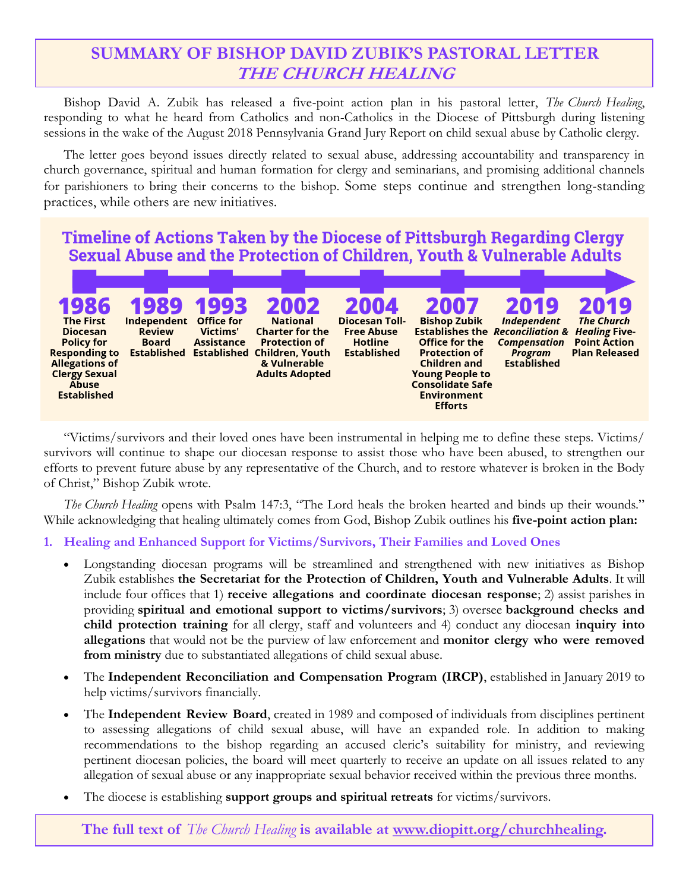# **SUMMARY OF BISHOP DAVID ZUBIK'S PASTORAL LETTER THE CHURCH HEALING**

Bishop David A. Zubik has released a five-point action plan in his pastoral letter, *The Church Healing*, responding to what he heard from Catholics and non-Catholics in the Diocese of Pittsburgh during listening sessions in the wake of the August 2018 Pennsylvania Grand Jury Report on child sexual abuse by Catholic clergy.

The letter goes beyond issues directly related to sexual abuse, addressing accountability and transparency in church governance, spiritual and human formation for clergy and seminarians, and promising additional channels for parishioners to bring their concerns to the bishop. Some steps continue and strengthen long-standing practices, while others are new initiatives.

### Timeline of Actions Taken by the Diocese of Pittsburgh Regarding Clergy Sexual Abuse and the Protection of Children, Youth & Vulnerable Adults



"Victims/survivors and their loved ones have been instrumental in helping me to define these steps. Victims/ survivors will continue to shape our diocesan response to assist those who have been abused, to strengthen our efforts to prevent future abuse by any representative of the Church, and to restore whatever is broken in the Body of Christ," Bishop Zubik wrote.

*The Church Healing* opens with Psalm 147:3, "The Lord heals the broken hearted and binds up their wounds." While acknowledging that healing ultimately comes from God, Bishop Zubik outlines his **five-point action plan:**

### **1. Healing and Enhanced Support for Victims/Survivors, Their Families and Loved Ones**

- Longstanding diocesan programs will be streamlined and strengthened with new initiatives as Bishop Zubik establishes **the Secretariat for the Protection of Children, Youth and Vulnerable Adults**. It will include four offices that 1) **receive allegations and coordinate diocesan response**; 2) assist parishes in providing **spiritual and emotional support to victims/survivors**; 3) oversee **background checks and child protection training** for all clergy, staff and volunteers and 4) conduct any diocesan **inquiry into allegations** that would not be the purview of law enforcement and **monitor clergy who were removed from ministry** due to substantiated allegations of child sexual abuse.
- The **Independent Reconciliation and Compensation Program (IRCP)**, established in January 2019 to help victims/survivors financially.
- The **Independent Review Board**, created in 1989 and composed of individuals from disciplines pertinent to assessing allegations of child sexual abuse, will have an expanded role. In addition to making recommendations to the bishop regarding an accused cleric's suitability for ministry, and reviewing pertinent diocesan policies, the board will meet quarterly to receive an update on all issues related to any allegation of sexual abuse or any inappropriate sexual behavior received within the previous three months.
- The diocese is establishing **support groups and spiritual retreats** for victims/survivors.

**The full text of** *The Church Healing* **is available at [www.diopitt.org/churchhealing.](https://diopitt.org/churchhealing)**